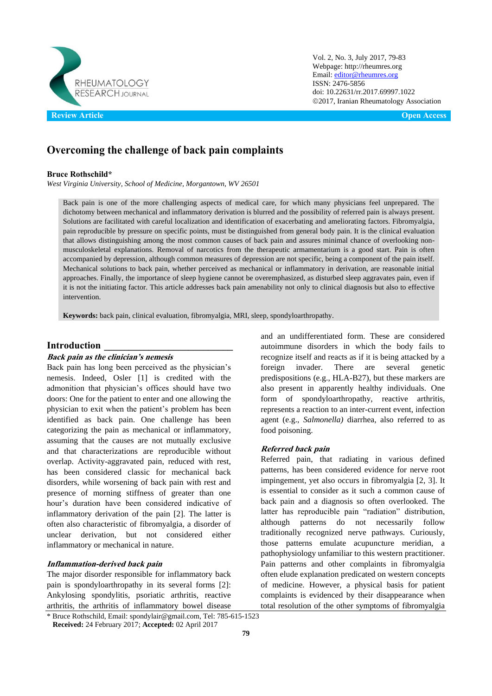

Vol. 2, No. 3, July 2017, 79-83 Webpage: http://rheumres.org Email[: editor@rheumres.org](mailto:editor@rheumres.org) ISSN: 2476-5856 doi[: 10.22631/rr.2017.69997.1022](http://dx.doi.org/10.22631/rr.2017.69997.1021) 2017, Iranian Rheumatology Association

# **Overcoming the challenge of back pain complaints**

#### **Bruce Rothschild\***

*West Virginia University, School of Medicine, Morgantown, WV 26501*

Back pain is one of the more challenging aspects of medical care, for which many physicians feel unprepared. The dichotomy between mechanical and inflammatory derivation is blurred and the possibility of referred pain is always present. Solutions are facilitated with careful localization and identification of exacerbating and ameliorating factors. Fibromyalgia, pain reproducible by pressure on specific points, must be distinguished from general body pain. It is the clinical evaluation that allows distinguishing among the most common causes of back pain and assures minimal chance of overlooking nonmusculoskeletal explanations. Removal of narcotics from the therapeutic armamentarium is a good start. Pain is often accompanied by depression, although common measures of depression are not specific, being a component of the pain itself. Mechanical solutions to back pain, whether perceived as mechanical or inflammatory in derivation, are reasonable initial approaches. Finally, the importance of sleep hygiene cannot be overemphasized, as disturbed sleep aggravates pain, even if it is not the initiating factor. This article addresses back pain amenability not only to clinical diagnosis but also to effective intervention.

**Keywords:** back pain, clinical evaluation, fibromyalgia, MRI, sleep, spondyloarthropathy.

#### **Introduction \_\_\_\_\_\_\_\_\_\_\_\_\_\_\_\_\_\_\_\_\_\_\_\_\_\_**

#### **Back pain as the clinician's nemesis**

Back pain has long been perceived as the physician's nemesis. Indeed, Osler [1] is credited with the admonition that physician's offices should have two doors: One for the patient to enter and one allowing the physician to exit when the patient's problem has been identified as back pain. One challenge has been categorizing the pain as mechanical or inflammatory, assuming that the causes are not mutually exclusive and that characterizations are reproducible without overlap. Activity-aggravated pain, reduced with rest, has been considered classic for mechanical back disorders, while worsening of back pain with rest and presence of morning stiffness of greater than one hour's duration have been considered indicative of inflammatory derivation of the pain [2]. The latter is often also characteristic of fibromyalgia, a disorder of unclear derivation, but not considered either inflammatory or mechanical in nature.

#### **Inflammation-derived back pain**

The major disorder responsible for inflammatory back pain is spondyloarthropathy in its several forms [2]: Ankylosing spondylitis, psoriatic arthritis, reactive arthritis, the arthritis of inflammatory bowel disease food poisoning.

although patterns do not necessarily follow traditionally recognized nerve pathways. Curiously, those patterns emulate acupuncture meridian, a pathophysiology unfamiliar to this western practitioner. Pain patterns and other complaints in fibromyalgia often elude explanation predicated on western concepts of medicine. However, a physical basis for patient complaints is evidenced by their disappearance when total resolution of the other symptoms of fibromyalgia

and an undifferentiated form. These are considered autoimmune disorders in which the body fails to recognize itself and reacts as if it is being attacked by a foreign invader. There are several genetic predispositions (e.g., HLA-B27), but these markers are also present in apparently healthy individuals. One form of spondyloarthropathy, reactive arthritis, represents a reaction to an inter-current event, infection agent (e.g., *Salmonella)* diarrhea, also referred to as

**Referred back pain** Referred pain, that radiating in various defined patterns, has been considered evidence for nerve root impingement, yet also occurs in fibromyalgia [2, 3]. It is essential to consider as it such a common cause of back pain and a diagnosis so often overlooked. The latter has reproducible pain "radiation" distribution,

<sup>\*</sup> Bruce Rothschild, Email: spondylair@gmail.com, Tel: 785-615-1523 **Received:** 24 February 2017; **Accepted:** 02 April 2017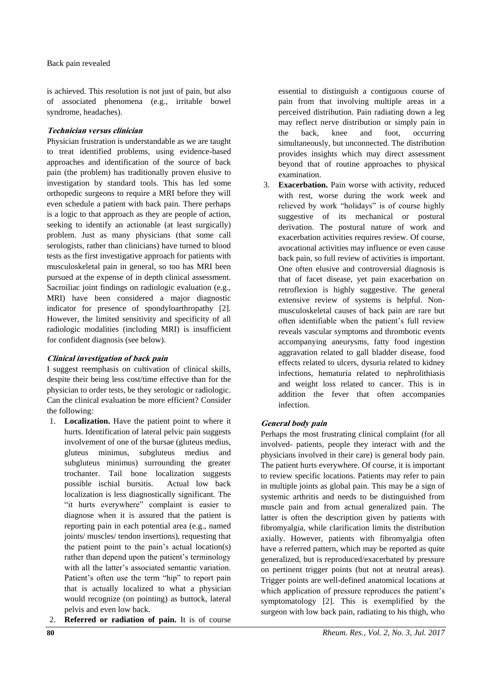is achieved. This resolution is not just of pain, but also of associated phenomena (e.g., irritable bowel syndrome, headaches).

### **Technician versus clinician**

Physician frustration is understandable as we are taught to treat identified problems, using evidence-based approaches and identification of the source of back pain (the problem) has traditionally proven elusive to investigation by standard tools. This has led some orthopedic surgeons to require a MRI before they will even schedule a patient with back pain. There perhaps is a logic to that approach as they are people of action, seeking to identify an actionable (at least surgically) problem. Just as many physicians (that some call serologists, rather than clinicians) have turned to blood tests as the first investigative approach for patients with musculoskeletal pain in general, so too has MRI been pursued at the expense of in depth clinical assessment. Sacroiliac joint findings on radiologic evaluation (e.g., MRI) have been considered a major diagnostic indicator for presence of spondyloarthropathy [2]. However, the limited sensitivity and specificity of all radiologic modalities (including MRI) is insufficient for confident diagnosis (see below).

# **Clinical investigation of back pain**

I suggest reemphasis on cultivation of clinical skills, despite their being less cost/time effective than for the physician to order tests, be they serologic or radiologic. Can the clinical evaluation be more efficient? Consider the following:

- 1. **Localization.** Have the patient point to where it hurts. Identification of lateral pelvic pain suggests involvement of one of the bursae (gluteus medius, gluteus minimus, subgluteus medius and subgluteus minimus) surrounding the greater trochanter. Tail bone localization suggests possible ischial bursitis. Actual low back localization is less diagnostically significant. The "it hurts everywhere" complaint is easier to diagnose when it is assured that the patient is reporting pain in each potential area (e.g., named joints/ muscles/ tendon insertions), requesting that the patient point to the pain's actual location(s) rather than depend upon the patient's terminology with all the latter's associated semantic variation. Patient's often use the term "hip" to report pain that is actually localized to what a physician would recognize (on pointing) as buttock, lateral pelvis and even low back.
- 2. **Referred or radiation of pain.** It is of course

essential to distinguish a contiguous course of pain from that involving multiple areas in a perceived distribution. Pain radiating down a leg may reflect nerve distribution or simply pain in the back, knee and foot, occurring simultaneously, but unconnected. The distribution provides insights which may direct assessment beyond that of routine approaches to physical examination.

3. **Exacerbation.** Pain worse with activity, reduced with rest, worse during the work week and relieved by work "holidays" is of course highly suggestive of its mechanical or postural derivation. The postural nature of work and exacerbation activities requires review. Of course, avocational activities may influence or even cause back pain, so full review of activities is important. One often elusive and controversial diagnosis is that of facet disease, yet pain exacerbation on retroflexion is highly suggestive. The general extensive review of systems is helpful. Nonmusculoskeletal causes of back pain are rare but often identifiable when the patient's full review reveals vascular symptoms and thrombotic events accompanying aneurysms, fatty food ingestion aggravation related to gall bladder disease, food effects related to ulcers, dysuria related to kidney infections, hematuria related to nephrolithiasis and weight loss related to cancer. This is in addition the fever that often accompanies infection.

# **General body pain**

Perhaps the most frustrating clinical complaint (for all involved- patients, people they interact with and the physicians involved in their care) is general body pain. The patient hurts everywhere. Of course, it is important to review specific locations. Patients may refer to pain in multiple joints as global pain. This may be a sign of systemic arthritis and needs to be distinguished from muscle pain and from actual generalized pain. The latter is often the description given by patients with fibromyalgia, while clarification limits the distribution axially. However, patients with fibromyalgia often have a referred pattern, which may be reported as quite generalized, but is reproduced/exacerbated by pressure on pertinent trigger points (but not at neutral areas). Trigger points are well-defined anatomical locations at which application of pressure reproduces the patient's symptomatology [2]. This is exemplified by the surgeon with low back pain, radiating to his thigh, who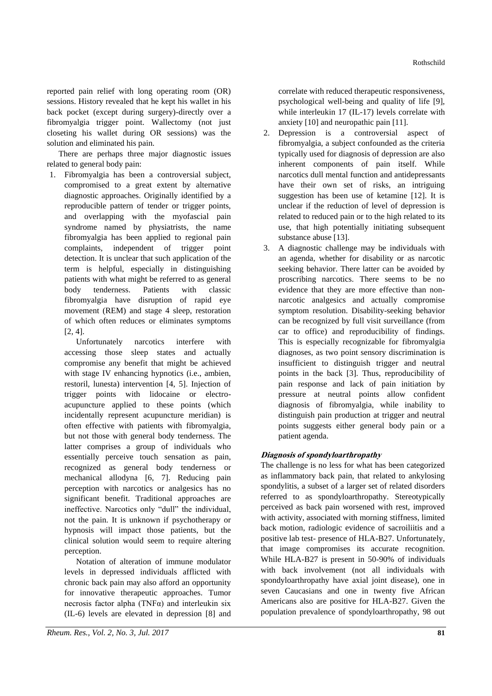reported pain relief with long operating room (OR) sessions. History revealed that he kept his wallet in his back pocket (except during surgery)-directly over a fibromyalgia trigger point. Wallectomy (not just closeting his wallet during OR sessions) was the solution and eliminated his pain.

There are perhaps three major diagnostic issues related to general body pain:

1. Fibromyalgia has been a controversial subject, compromised to a great extent by alternative diagnostic approaches. Originally identified by a reproducible pattern of tender or trigger points, and overlapping with the myofascial pain syndrome named by physiatrists, the name fibromyalgia has been applied to regional pain complaints, independent of trigger point detection. It is unclear that such application of the term is helpful, especially in distinguishing patients with what might be referred to as general body tenderness. Patients with classic fibromyalgia have disruption of rapid eye movement (REM) and stage 4 sleep, restoration of which often reduces or eliminates symptoms [2, 4].

Unfortunately narcotics interfere with accessing those sleep states and actually compromise any benefit that might be achieved with stage IV enhancing hypnotics (i.e., ambien, restoril, lunesta) intervention [4, 5]. Injection of trigger points with lidocaine or electroacupuncture applied to these points (which incidentally represent acupuncture meridian) is often effective with patients with fibromyalgia, but not those with general body tenderness. The latter comprises a group of individuals who essentially perceive touch sensation as pain, recognized as general body tenderness or mechanical allodyna [6, 7]. Reducing pain perception with narcotics or analgesics has no significant benefit. Traditional approaches are ineffective. Narcotics only "dull" the individual, not the pain. It is unknown if psychotherapy or hypnosis will impact those patients, but the clinical solution would seem to require altering perception.

Notation of alteration of immune modulator levels in depressed individuals afflicted with chronic back pain may also afford an opportunity for innovative therapeutic approaches. Tumor necrosis factor alpha (TNF $\alpha$ ) and interleukin six (IL-6) levels are elevated in depression [8] and

correlate with reduced therapeutic responsiveness, psychological well-being and quality of life [9], while interleukin 17 (IL-17) levels correlate with anxiety [10] and neuropathic pain [11].

- 2. Depression is a controversial aspect of fibromyalgia, a subject confounded as the criteria typically used for diagnosis of depression are also inherent components of pain itself. While narcotics dull mental function and antidepressants have their own set of risks, an intriguing suggestion has been use of ketamine [12]. It is unclear if the reduction of level of depression is related to reduced pain or to the high related to its use, that high potentially initiating subsequent substance abuse [13].
- 3. A diagnostic challenge may be individuals with an agenda, whether for disability or as narcotic seeking behavior. There latter can be avoided by proscribing narcotics. There seems to be no evidence that they are more effective than nonnarcotic analgesics and actually compromise symptom resolution. Disability-seeking behavior can be recognized by full visit surveillance (from car to office) and reproducibility of findings. This is especially recognizable for fibromyalgia diagnoses, as two point sensory discrimination is insufficient to distinguish trigger and neutral points in the back [3]. Thus, reproducibility of pain response and lack of pain initiation by pressure at neutral points allow confident diagnosis of fibromyalgia, while inability to distinguish pain production at trigger and neutral points suggests either general body pain or a patient agenda.

# **Diagnosis of spondyloarthropathy**

The challenge is no less for what has been categorized as inflammatory back pain, that related to ankylosing spondylitis, a subset of a larger set of related disorders referred to as spondyloarthropathy. Stereotypically perceived as back pain worsened with rest, improved with activity, associated with morning stiffness, limited back motion, radiologic evidence of sacroiliitis and a positive lab test- presence of HLA-B27. Unfortunately, that image compromises its accurate recognition. While HLA-B27 is present in 50-90% of individuals with back involvement (not all individuals with spondyloarthropathy have axial joint disease), one in seven Caucasians and one in twenty five African Americans also are positive for HLA-B27. Given the population prevalence of spondyloarthropathy, 98 out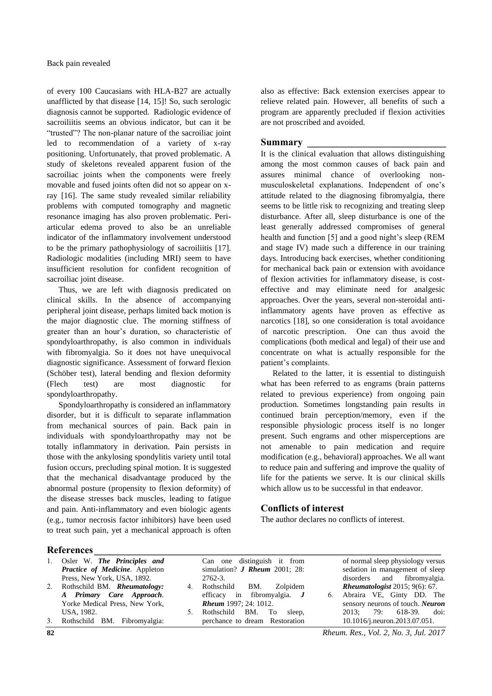of every 100 Caucasians with HLA-B27 are actually unafflicted by that disease [14, 15]! So, such serologic diagnosis cannot be supported. Radiologic evidence of sacroiliitis seems an obvious indicator, but can it be "trusted"? The non-planar nature of the sacroiliac joint led to recommendation of a variety of x-ray positioning. Unfortunately, that proved problematic. A study of skeletons revealed apparent fusion of the sacroiliac joints when the components were freely movable and fused joints often did not so appear on xray [16]. The same study revealed similar reliability problems with computed tomography and magnetic resonance imaging has also proven problematic. Periarticular edema proved to also be an unreliable indicator of the inflammatory involvement understood to be the primary pathophysiology of sacroiliitis [17]. Radiologic modalities (including MRI) seem to have insufficient resolution for confident recognition of sacroiliac joint disease.

Thus, we are left with diagnosis predicated on clinical skills. In the absence of accompanying peripheral joint disease, perhaps limited back motion is the major diagnostic clue. The morning stiffness of greater than an hour's duration, so characteristic of spondyloarthropathy, is also common in individuals with fibromyalgia. So it does not have unequivocal diagnostic significance. Assessment of forward flexion (Schöber test), lateral bending and flexion deformity (Flech test) are most diagnostic for spondyloarthropathy.

Spondyloarthropathy is considered an inflammatory disorder, but it is difficult to separate inflammation from mechanical sources of pain. Back pain in individuals with spondyloarthropathy may not be totally inflammatory in derivation. Pain persists in those with the ankylosing spondylitis variety until total fusion occurs, precluding spinal motion. It is suggested that the mechanical disadvantage produced by the abnormal posture (propensity to flexion deformity) of the disease stresses back muscles, leading to fatigue and pain. Anti-inflammatory and even biologic agents (e.g., tumor necrosis factor inhibitors) have been used to treat such pain, yet a mechanical approach is often

also as effective: Back extension exercises appear to relieve related pain. However, all benefits of such a program are apparently precluded if flexion activities are not proscribed and avoided.

#### **Summary \_\_\_\_\_\_\_\_\_\_\_\_\_\_\_\_\_\_\_\_\_\_\_\_\_\_\_\_**

It is the clinical evaluation that allows distinguishing among the most common causes of back pain and assures minimal chance of overlooking nonmusculoskeletal explanations. Independent of one's attitude related to the diagnosing fibromyalgia, there seems to be little risk to recognizing and treating sleep disturbance. After all, sleep disturbance is one of the least generally addressed compromises of general health and function [5] and a good night's sleep (REM and stage IV) made such a difference in our training days. Introducing back exercises, whether conditioning for mechanical back pain or extension with avoidance of flexion activities for inflammatory disease, is costeffective and may eliminate need for analgesic approaches. Over the years, several non-steroidal antiinflammatory agents have proven as effective as narcotics [18], so one consideration is total avoidance of narcotic prescription. One can thus avoid the complications (both medical and legal) of their use and concentrate on what is actually responsible for the patient's complaints.

Related to the latter, it is essential to distinguish what has been referred to as engrams (brain patterns related to previous experience) from ongoing pain production. Sometimes longstanding pain results in continued brain perception/memory, even if the responsible physiologic process itself is no longer present. Such engrams and other misperceptions are not amenable to pain medication and require modification (e.g., behavioral) approaches. We all want to reduce pain and suffering and improve the quality of life for the patients we serve. It is our clinical skills which allow us to be successful in that endeavor.

# **Conflicts of interest**

The author declares no conflicts of interest.

# **References\_\_\_\_\_\_\_\_\_\_\_\_\_\_\_\_\_\_\_\_\_\_\_\_\_\_\_\_\_\_\_\_\_\_\_\_\_\_\_\_\_\_\_\_\_\_\_\_\_\_\_\_\_\_\_\_\_\_\_\_\_\_\_\_\_\_\_\_\_\_**

| 1. | Osler W. The Principles and<br>Practice of Medicine. Appleton |    | Can one distinguish it from<br>simulation? <i>J Rheum</i> 2001; 28: |    | of normal sleep physiology versus<br>sedation in management of sleep |                   |  |
|----|---------------------------------------------------------------|----|---------------------------------------------------------------------|----|----------------------------------------------------------------------|-------------------|--|
|    | Press, New York, USA, 1892.                                   |    | 2762-3.                                                             |    | disorders                                                            | and fibromyalgia. |  |
| 2. | Rothschild BM. Rheumatology:                                  | 4. | Rothschild BM.<br>Zolpidem                                          |    | <b>Rheumatologist</b> 2015; $9(6)$ : 67.                             |                   |  |
|    | A Primary Care Approach.                                      |    | efficacy in fibromyalgia. $J$                                       | 6. | Abraira VE, Ginty DD. The                                            |                   |  |
|    | Yorke Medical Press, New York,                                |    | <b>Rheum</b> 1997; 24: 1012.                                        |    | sensory neurons of touch. Neuron                                     |                   |  |
|    | USA, 1982.                                                    |    | Rothschild BM. To<br>sleep,                                         |    | 2013:79:                                                             | $618-39$ . doi:   |  |
| 3. | Rothschild BM. Fibromyalgia:                                  |    | perchance to dream Restoration                                      |    | 10.1016/j.neuron.2013.07.051.                                        |                   |  |

**82** *Rheum. Res., Vol. 2, No. 3, Jul. 2017*